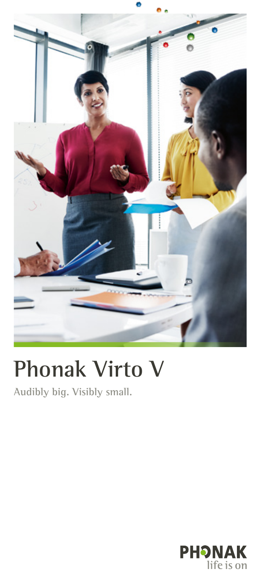

# **Phonak Virto V**

Audibly big. Visibly small.

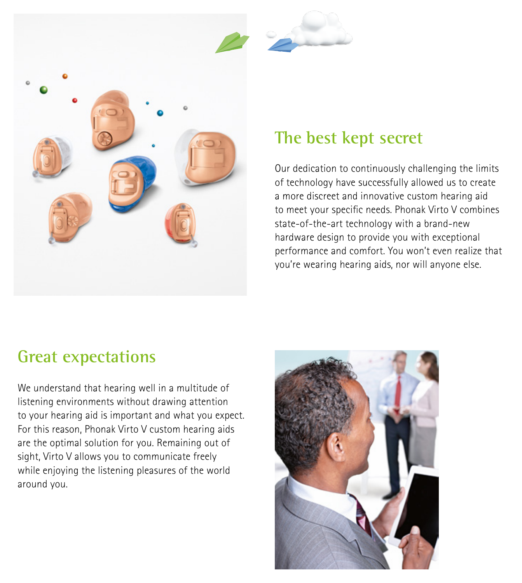



## **The best kept secret**

Our dedication to continuously challenging the limits of technology have successfully allowed us to create a more discreet and innovative custom hearing aid to meet your specific needs. Phonak Virto V combines state-of-the-art technology with a brand-new hardware design to provide you with exceptional performance and comfort. You won't even realize that you're wearing hearing aids, nor will anyone else.

### **Great expectations**

We understand that hearing well in a multitude of listening environments without drawing attention to your hearing aid is important and what you expect. For this reason, Phonak Virto V custom hearing aids are the optimal solution for you. Remaining out of sight, Virto V allows you to communicate freely while enjoying the listening pleasures of the world around you.

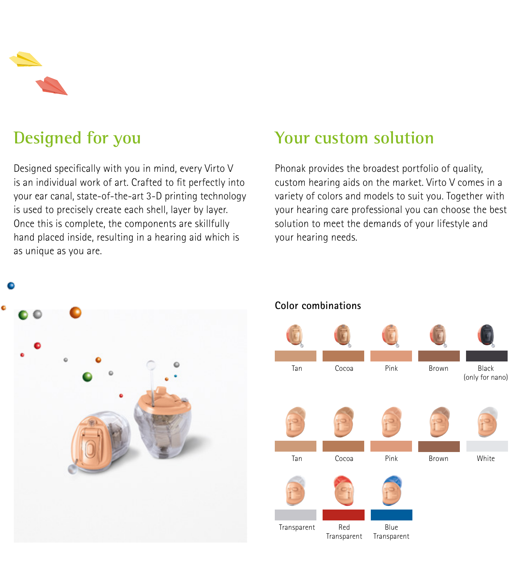# **Designed for you**

Designed specifically with you in mind, every Virto V is an individual work of art. Crafted to fit perfectly into your ear canal, state-of-the-art 3-D printing technology is used to precisely create each shell, layer by layer. Once this is complete, the components are skillfully hand placed inside, resulting in a hearing aid which is as unique as you are.

### **Your custom solution**

Phonak provides the broadest portfolio of quality, custom hearing aids on the market. Virto V comes in a variety of colors and models to suit you. Together with your hearing care professional you can choose the best solution to meet the demands of your lifestyle and your hearing needs.



#### **Color combinations**



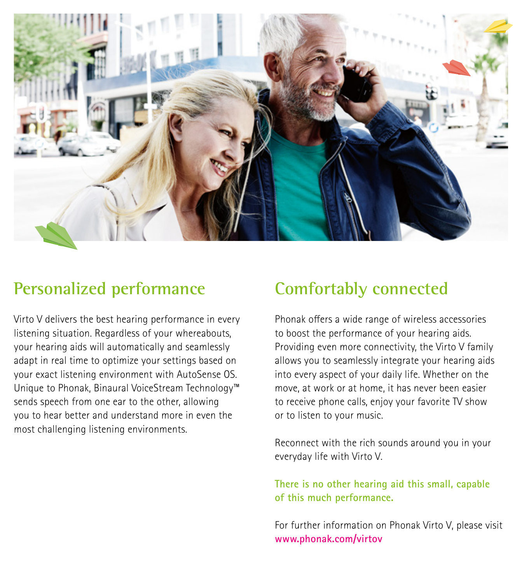

### **Personalized performance**

Virto V delivers the best hearing performance in every listening situation. Regardless of your whereabouts, your hearing aids will automatically and seamlessly adapt in real time to optimize your settings based on your exact listening environment with AutoSense OS. Unique to Phonak, Binaural VoiceStream Technology™ sends speech from one ear to the other, allowing you to hear better and understand more in even the most challenging listening environments.

# **Comfortably connected**

Phonak offers a wide range of wireless accessories to boost the performance of your hearing aids. Providing even more connectivity, the Virto V family allows you to seamlessly integrate your hearing aids into every aspect of your daily life. Whether on the move, at work or at home, it has never been easier to receive phone calls, enjoy your favorite TV show or to listen to your music.

Reconnect with the rich sounds around you in your everyday life with Virto V.

**There is no other hearing aid this small, capable of this much performance.**

For further information on Phonak Virto V, please visit **www.phonak.com/virtov**